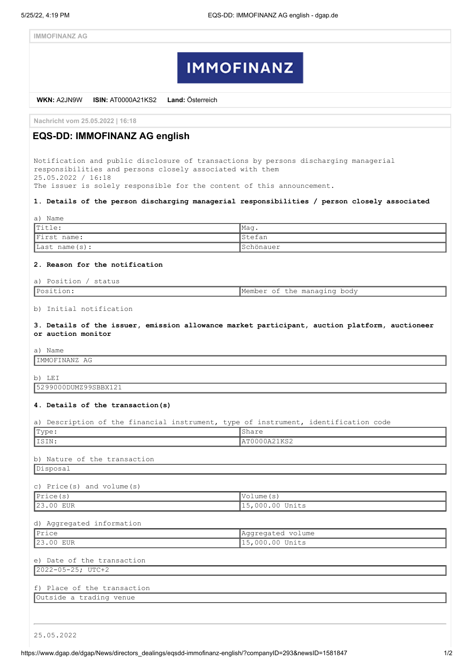# **IMMOFINANZ**

**WKN:** A2JN9W **ISIN:** AT0000A21KS2 **Land:** Österreich

**Nachricht vom 25.05.2022 | 16:18**

# **EQS-DD: IMMOFINANZ AG english**

Notification and public disclosure of transactions by persons discharging managerial responsibilities and persons closely associated with them 25.05.2022 / 16:18 The issuer is solely responsible for the content of this announcement.

#### **1. Details of the person discharging managerial responsibilities / person closely associated**

| a) Name                   |                 |
|---------------------------|-----------------|
| $ $ Title:                | lMaq            |
| First name:               | <b>I</b> Stefan |
| $\vert$ Last name $(s)$ : | Schönauer       |

#### **2. Reason for the notification**

#### a) Position / status

| Position: |  | Member of the managing body |  |
|-----------|--|-----------------------------|--|
|           |  |                             |  |

## b) Initial notification

**3. Details of the issuer, emission allowance market participant, auction platform, auctioneer or auction monitor**

a) Name

IMMOFINANZ AG

b) LEI

5299000DUMZ99SBBX121

## **4. Details of the transaction(s)**

|  |  |  |  | a) Description of the financial instrument, type of instrument, identification code |  |
|--|--|--|--|-------------------------------------------------------------------------------------|--|

| Type:                        | Share             |  |
|------------------------------|-------------------|--|
| ISIN:                        | AT0000A21KS2      |  |
|                              |                   |  |
| b) Nature of the transaction |                   |  |
| Disposal                     |                   |  |
| c) Price(s) and $volume(s)$  |                   |  |
| Price(s)                     | Volume (s)        |  |
| 23.00 EUR                    | 15,000.00 Units   |  |
|                              |                   |  |
| d) Aggregated information    |                   |  |
| Price                        | Aggregated volume |  |
| 23.00 EUR                    | 15,000.00 Units   |  |
| e) Date of the transaction   |                   |  |
| 2022-05-25; UTC+2            |                   |  |
|                              |                   |  |
| f) Place of the transaction  |                   |  |
| Outside a trading venue      |                   |  |
|                              |                   |  |
|                              |                   |  |